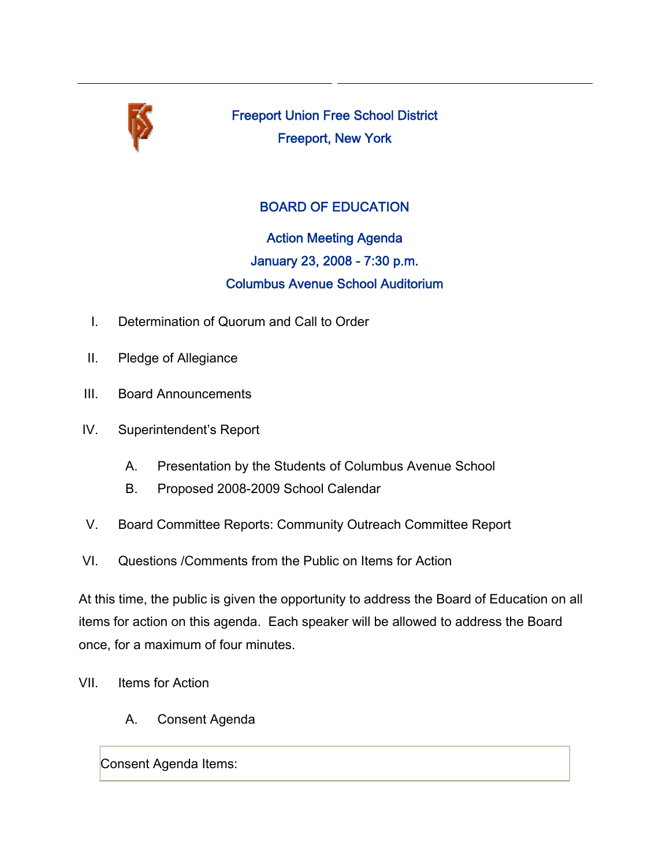

Freeport Union Free School District Freeport, New York

### BOARD OF EDUCATION

# Action Meeting Agenda January 23, 2008 - 7:30 p.m. Columbus Avenue School Auditorium

- I. Determination of Quorum and Call to Order
- II. Pledge of Allegiance
- III. Board Announcements
- IV. Superintendent's Report
	- A. Presentation by the Students of Columbus Avenue School
	- B. Proposed 2008-2009 School Calendar
- V. Board Committee Reports: Community Outreach Committee Report
- VI. Questions /Comments from the Public on Items for Action

At this time, the public is given the opportunity to address the Board of Education on all items for action on this agenda. Each speaker will be allowed to address the Board once, for a maximum of four minutes.

- VII. Items for Action
	- A. Consent Agenda

Consent Agenda Items: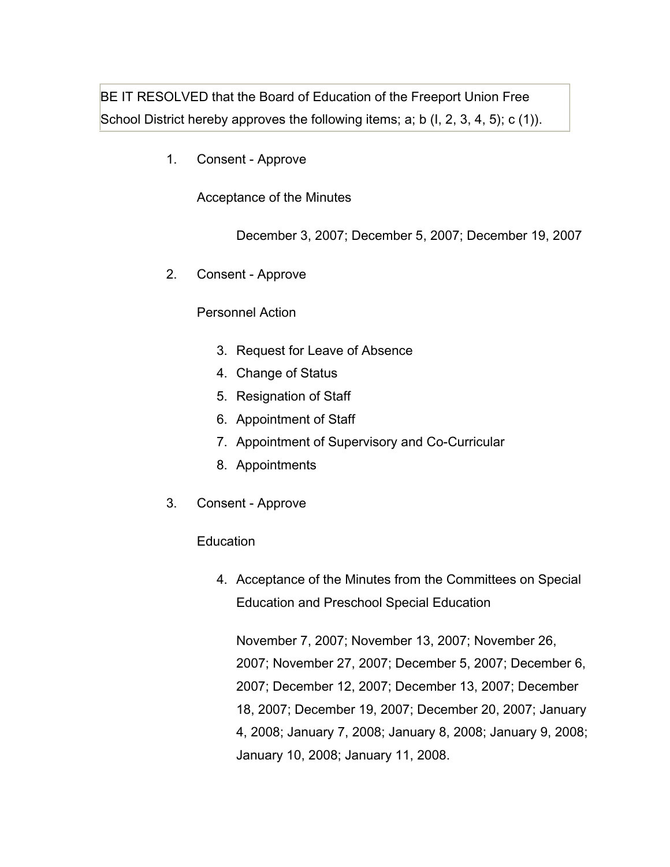BE IT RESOLVED that the Board of Education of the Freeport Union Free School District hereby approves the following items; a; b (I, 2, 3, 4, 5); c (1)).

1. Consent - Approve

Acceptance of the Minutes

December 3, 2007; December 5, 2007; December 19, 2007

2. Consent - Approve

#### Personnel Action

- 3. Request for Leave of Absence
- 4. Change of Status
- 5. Resignation of Staff
- 6. Appointment of Staff
- 7. Appointment of Supervisory and Co-Curricular
- 8. Appointments
- 3. Consent Approve

#### **Education**

4. Acceptance of the Minutes from the Committees on Special Education and Preschool Special Education

November 7, 2007; November 13, 2007; November 26, 2007; November 27, 2007; December 5, 2007; December 6, 2007; December 12, 2007; December 13, 2007; December 18, 2007; December 19, 2007; December 20, 2007; January 4, 2008; January 7, 2008; January 8, 2008; January 9, 2008; January 10, 2008; January 11, 2008.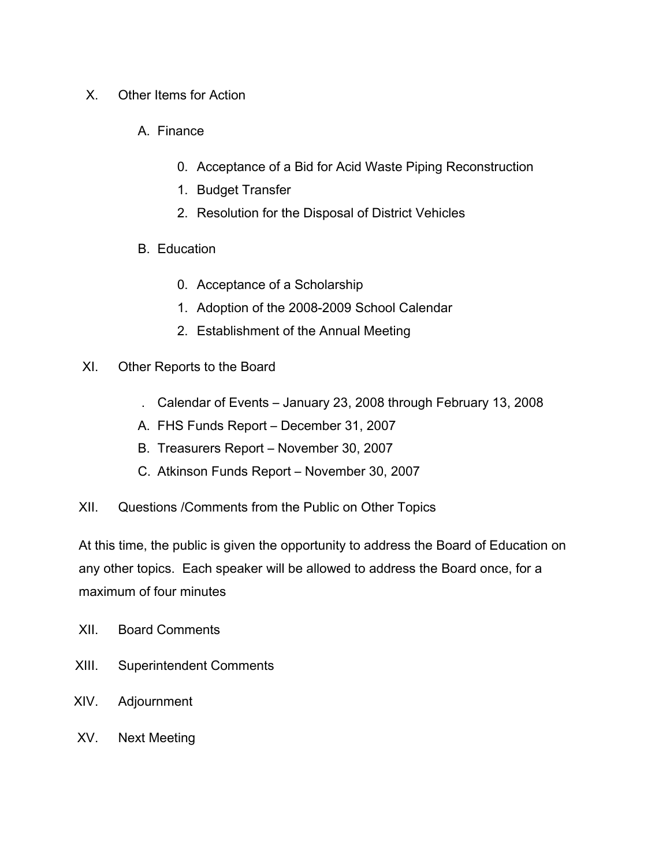- X. Other Items for Action
	- A. Finance
		- 0. Acceptance of a Bid for Acid Waste Piping Reconstruction
		- 1. Budget Transfer
		- 2. Resolution for the Disposal of District Vehicles
	- B. Education
		- 0. Acceptance of a Scholarship
		- 1. Adoption of the 2008-2009 School Calendar
		- 2. Establishment of the Annual Meeting

#### XI. Other Reports to the Board

- . Calendar of Events January 23, 2008 through February 13, 2008
- A. FHS Funds Report December 31, 2007
- B. Treasurers Report November 30, 2007
- C. Atkinson Funds Report November 30, 2007
- XII. Questions /Comments from the Public on Other Topics

At this time, the public is given the opportunity to address the Board of Education on any other topics. Each speaker will be allowed to address the Board once, for a maximum of four minutes

- XII. Board Comments
- XIII. Superintendent Comments
- XIV. Adjournment
- XV. Next Meeting